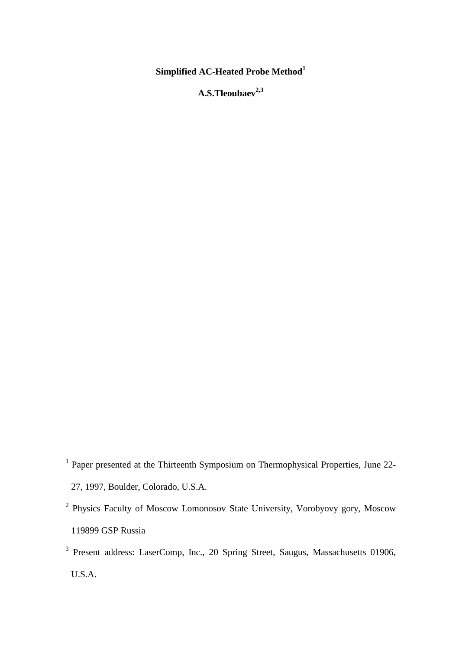# **Simplified AC-Heated Probe Method<sup>1</sup>**

**A.S.Tleoubaev2,3**

- <sup>1</sup> Paper presented at the Thirteenth Symposium on Thermophysical Properties, June 22-27, 1997, Boulder, Colorado, U.S.A.
- <sup>2</sup> Physics Faculty of Moscow Lomonosov State University, Vorobyovy gory, Moscow 119899 GSP Russia
- <sup>3</sup> Present address: LaserComp, Inc., 20 Spring Street, Saugus, Massachusetts 01906, U.S.A.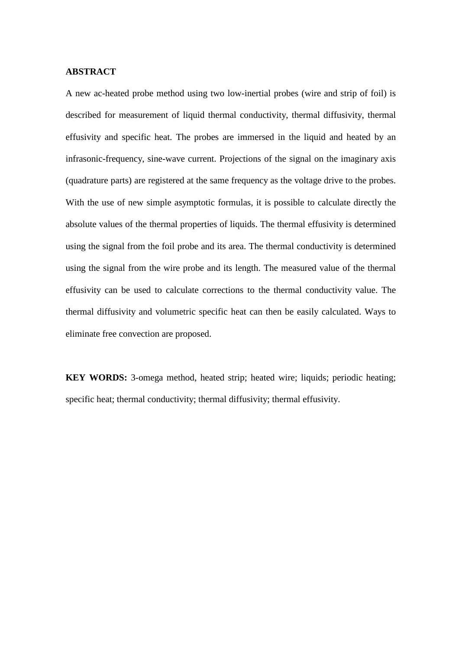#### **ABSTRACT**

A new ac-heated probe method using two low-inertial probes (wire and strip of foil) is described for measurement of liquid thermal conductivity, thermal diffusivity, thermal effusivity and specific heat. The probes are immersed in the liquid and heated by an infrasonic-frequency, sine-wave current. Projections of the signal on the imaginary axis (quadrature parts) are registered at the same frequency as the voltage drive to the probes. With the use of new simple asymptotic formulas, it is possible to calculate directly the absolute values of the thermal properties of liquids. The thermal effusivity is determined using the signal from the foil probe and its area. The thermal conductivity is determined using the signal from the wire probe and its length. The measured value of the thermal effusivity can be used to calculate corrections to the thermal conductivity value. The thermal diffusivity and volumetric specific heat can then be easily calculated. Ways to eliminate free convection are proposed.

**KEY WORDS:** 3-omega method, heated strip; heated wire; liquids; periodic heating; specific heat; thermal conductivity; thermal diffusivity; thermal effusivity.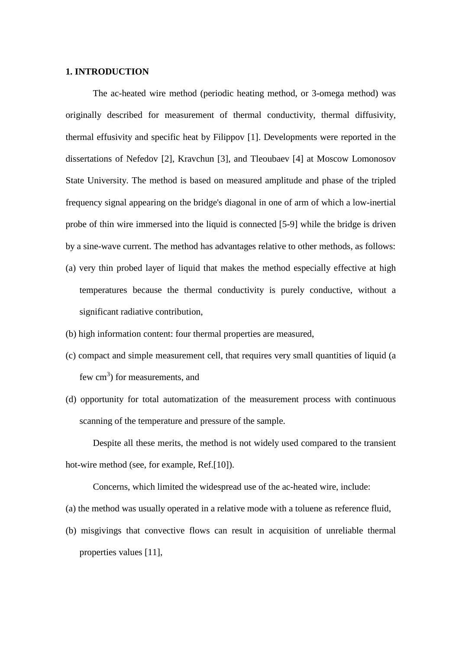## **1. INTRODUCTION**

The ac-heated wire method (periodic heating method, or 3-omega method) was originally described for measurement of thermal conductivity, thermal diffusivity, thermal effusivity and specific heat by Filippov [1]. Developments were reported in the dissertations of Nefedov [2], Kravchun [3], and Tleoubaev [4] at Moscow Lomonosov State University. The method is based on measured amplitude and phase of the tripled frequency signal appearing on the bridge's diagonal in one of arm of which a low-inertial probe of thin wire immersed into the liquid is connected [5-9] while the bridge is driven by a sine-wave current. The method has advantages relative to other methods, as follows: (a) very thin probed layer of liquid that makes the method especially effective at high

- temperatures because the thermal conductivity is purely conductive, without a significant radiative contribution,
- (b) high information content: four thermal properties are measured,
- (c) compact and simple measurement cell, that requires very small quantities of liquid (a few  $\text{cm}^3$ ) for measurements, and
- (d) opportunity for total automatization of the measurement process with continuous scanning of the temperature and pressure of the sample.

Despite all these merits, the method is not widely used compared to the transient hot-wire method (see, for example, Ref.[10]).

Concerns, which limited the widespread use of the ac-heated wire, include:

(a) the method was usually operated in a relative mode with a toluene as reference fluid,

(b) misgivings that convective flows can result in acquisition of unreliable thermal properties values [11],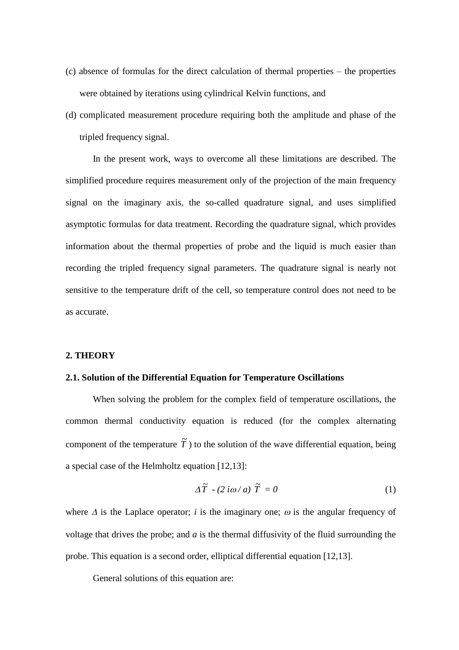- $(c)$  absence of formulas for the direct calculation of thermal properties the properties were obtained by iterations using cylindrical Kelvin functions, and
- (d) complicated measurement procedure requiring both the amplitude and phase of the tripled frequency signal.

In the present work, ways to overcome all these limitations are described. The simplified procedure requires measurement only of the projection of the main frequency signal on the imaginary axis, the so-called quadrature signal, and uses simplified asymptotic formulas for data treatment. Recording the quadrature signal, which provides information about the thermal properties of probe and the liquid is much easier than recording the tripled frequency signal parameters. The quadrature signal is nearly not sensitive to the temperature drift of the cell, so temperature control does not need to be as accurate.

#### **2. THEORY**

## **2.1. Solution of the Differential Equation for Temperature Oscillations**

When solving the problem for the complex field of temperature oscillations, the common thermal conductivity equation is reduced (for the complex alternating component of the temperature  $\tilde{T}$ ) to the solution of the wave differential equation, being a special case of the Helmholtz equation [12,13]:

$$
\Delta \widetilde{T} - (2 i \omega / a) \widetilde{T} = 0 \tag{1}
$$

where  $\Delta$  is the Laplace operator; *i* is the imaginary one;  $\omega$  is the angular frequency of voltage that drives the probe; and *a* is the thermal diffusivity of the fluid surrounding the probe. This equation is a second order, elliptical differential equation [12,13].

General solutions of this equation are: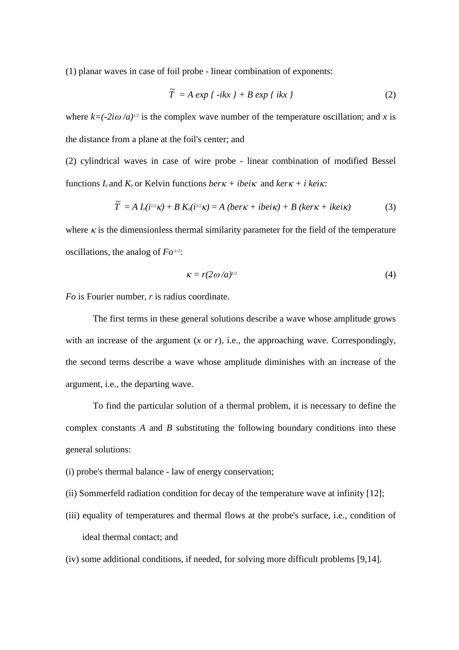(1) planar waves in case of foil probe - linear combination of exponents:

$$
\widetilde{T} = A \exp \{-ikx\} + B \exp \{-ikx\}
$$
 (2)

where  $k = (-2i\omega/a)^{1/2}$  is the complex wave number of the temperature oscillation; and *x* is the distance from a plane at the foil's center; and

(2) cylindrical waves in case of wire probe - linear combination of modified Bessel functions  $I_0$  and  $K_0$  or Kelvin functions *ber* $\kappa$  + *ibei* $\kappa$  and *ker* $\kappa$  + *i kei* $\kappa$ :

$$
\widetilde{T} = A I_0(i^{1/2}\kappa) + B K_0(i^{1/2}\kappa) = A (ber \kappa + ibe i\kappa) + B (ker \kappa + ike i\kappa)
$$
\n(3)

where  $\kappa$  is the dimensionless thermal similarity parameter for the field of the temperature oscillations, the analog of *Fo-1/2*:

$$
\kappa = r(2\omega/a)^{1/2} \tag{4}
$$

*Fo* is Fourier number, *r* is radius coordinate.

The first terms in these general solutions describe a wave whose amplitude grows with an increase of the argument  $(x \text{ or } r)$ , i.e., the approaching wave. Correspondingly, the second terms describe a wave whose amplitude diminishes with an increase of the argument, i.e., the departing wave.

To find the particular solution of a thermal problem, it is necessary to define the complex constants *A* and *B* substituting the following boundary conditions into these general solutions:

- (i) probe's thermal balance law of energy conservation;
- (ii) Sommerfeld radiation condition for decay of the temperature wave at infinity [12];
- (iii) equality of temperatures and thermal flows at the probe's surface, i.e., condition of ideal thermal contact; and
- (iv) some additional conditions, if needed, for solving more difficult problems [9,14].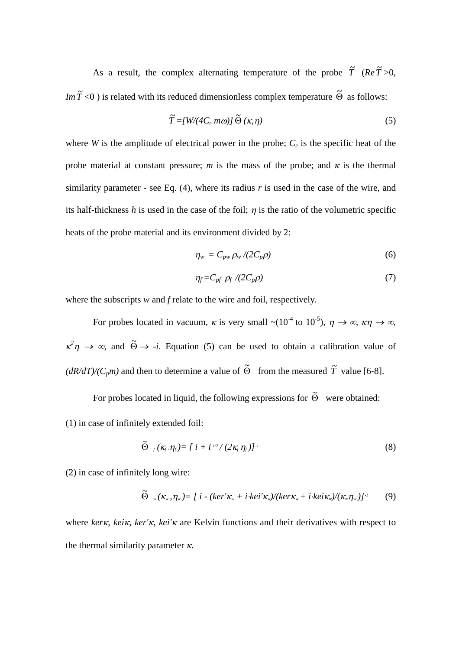As a result, the complex alternating temperature of the probe  $\tilde{T}$  (*Re*  $\tilde{T} > 0$ , *Im*  $\tilde{T}$  <0 ) is related with its reduced dimensionless complex temperature  $\tilde{\Theta}$  as follows:

$$
\widetilde{T} = [W/(4C_p m\omega)] \widetilde{\Theta}(\kappa, \eta)
$$
\n(5)

where *W* is the amplitude of electrical power in the probe;  $C_p$  is the specific heat of the probe material at constant pressure; *m* is the mass of the probe; and  $\kappa$  is the thermal similarity parameter - see Eq. (4), where its radius *r* is used in the case of the wire, and its half-thickness  $h$  is used in the case of the foil;  $\eta$  is the ratio of the volumetric specific heats of the probe material and its environment divided by 2:

$$
\eta_w = C_{pw} \rho_w / (2C_p \rho) \tag{6}
$$

$$
\eta_f = C_{pf} \, \rho_f \, \langle (2C_p \rho) \tag{7}
$$

where the subscripts *w* and *f* relate to the wire and foil, respectively.

For probes located in vacuum,  $\kappa$  is very small  $\sim (10^{-4} \text{ to } 10^{-5})$ ,  $\eta \to \infty$ ,  $\kappa \eta \to \infty$ ,  $x^2 \eta \rightarrow \infty$ , and  $\tilde{\Theta} \rightarrow -i$ . Equation (5) can be used to obtain a calibration value of  $(dR/dT)/(C_p m)$  and then to determine a value of  $\tilde{\Theta}$  from the measured  $\tilde{T}$  value [6-8].

For probes located in liquid, the following expressions for  $\tilde{\Theta}$  were obtained: (1) in case of infinitely extended foil:

$$
\widetilde{\Theta}_{f}(\kappa_{f}.\eta_{f}) = [i + i^{1/2}/(2\kappa_{f} \eta_{f})]^{-1}
$$
\n(8)

(2) in case of infinitely long wire:

$$
\widetilde{\Theta}_{w}(\kappa_{w},\eta_{w}) = [i - (ker' \kappa_{w} + i \cdot kei' \kappa_{w})/(ker \kappa_{w} + i \cdot kei \kappa_{w})/(\kappa_{w}\eta_{w})]^{-1}
$$
(9)

where *ker<sub>K</sub>*, *kei<sub>K</sub>*, *ker'<sub>K</sub>*, *kei'<sub>K</sub>* are Kelvin functions and their derivatives with respect to the thermal similarity parameter  $\kappa$ .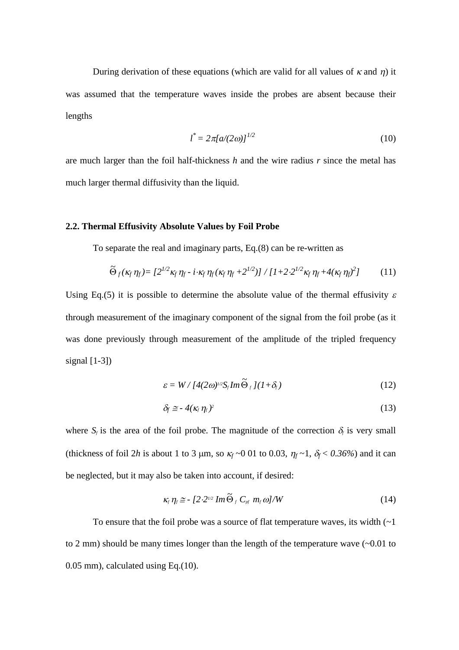During derivation of these equations (which are valid for all values of  $\kappa$  and  $\eta$ ) it was assumed that the temperature waves inside the probes are absent because their lengths

$$
l^* = 2\pi [a/(2\omega)]^{1/2}
$$
 (10)

are much larger than the foil half-thickness *h* and the wire radius *r* since the metal has much larger thermal diffusivity than the liquid.

### **2.2. Thermal Effusivity Absolute Values by Foil Probe**

To separate the real and imaginary parts, Eq.(8) can be re-written as

$$
\widetilde{\Theta}_f(\kappa_f \eta_f) = \left[2^{1/2} \kappa_f \eta_f \cdot i \cdot \kappa_f \eta_f (\kappa_f \eta_f + 2^{1/2})\right] / \left[1 + 2 \cdot 2^{1/2} \kappa_f \eta_f + 4(\kappa_f \eta_f)^2\right] \tag{11}
$$

Using Eq.(5) it is possible to determine the absolute value of the thermal effusivity  $\varepsilon$ through measurement of the imaginary component of the signal from the foil probe (as it was done previously through measurement of the amplitude of the tripled frequency signal  $[1-3]$ 

$$
\varepsilon = W / [4(2\omega)^{1/2} S_f Im \widetilde{\Theta}_f ] (1 + \delta_f)
$$
 (12)

$$
\delta_f \cong -4(\kappa_f \eta_f)^2 \tag{13}
$$

where  $S_f$  is the area of the foil probe. The magnitude of the correction  $\delta_f$  is very small (thickness of foil 2*h* is about 1 to 3  $\mu$ m, so  $\kappa_f \sim 0.01$  to 0.03,  $\eta_f \sim 1$ ,  $\delta_f \lt 0.36\%$ ) and it can be neglected, but it may also be taken into account, if desired:

$$
\kappa_{f} \eta_{f} \cong -[2 \cdot 2^{1/2} Im \widetilde{\Theta}_{f} C_{pf} m_{f} \omega]/W
$$
 (14)

To ensure that the foil probe was a source of flat temperature waves, its width  $(-1)$ to 2 mm) should be many times longer than the length of the temperature wave (~0.01 to 0.05 mm), calculated using Eq.(10).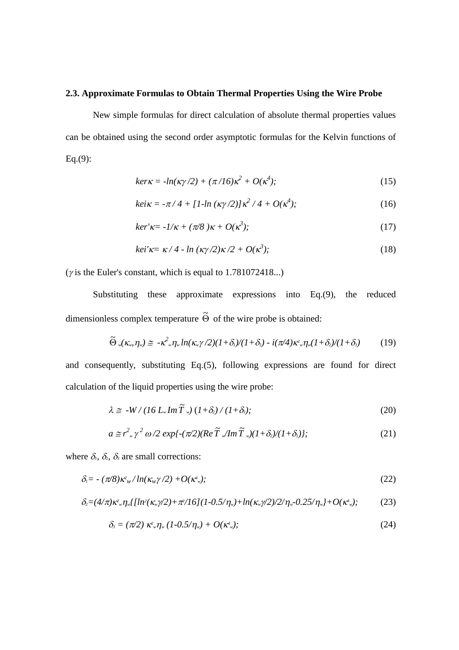#### **2.3. Approximate Formulas to Obtain Thermal Properties Using the Wire Probe**

New simple formulas for direct calculation of absolute thermal properties values can be obtained using the second order asymptotic formulas for the Kelvin functions of Eq. $(9)$ :

$$
ker \kappa = -\ln(\kappa \gamma/2) + (\pi/16)\kappa^2 + O(\kappa^4); \qquad (15)
$$

$$
kei\kappa = -\pi/4 + [1 - \ln(\kappa \gamma/2)]\kappa^2/4 + O(\kappa^4); \tag{16}
$$

$$
ker' \kappa = -1/\kappa + (\pi/8) \kappa + O(\kappa^3); \tag{17}
$$

$$
kei'\kappa = \kappa/4 - \ln\left(\frac{\kappa\gamma}{2}\right)\kappa/2 + O(\kappa^3); \tag{18}
$$

( $\gamma$  is the Euler's constant, which is equal to 1.781072418...)

Substituting these approximate expressions into Eq.(9), the reduced dimensionless complex temperature  $\widetilde{\Theta}$  of the wire probe is obtained:

$$
\widetilde{\Theta}_{w}(\kappa_{w},\eta_{w})\cong -\kappa^{2}{}_{w}\eta_{w}\ln(\kappa_{w}\gamma/2)(1+\delta_{1})/(1+\delta_{3})-i(\pi/4)\kappa^{2}{}_{w}\eta_{w}(1+\delta_{2})/(1+\delta_{3})
$$
(19)

and consequently, substituting Eq.(5), following expressions are found for direct calculation of the liquid properties using the wire probe:

$$
\lambda \cong -W/(16 L_w Im \tilde{T}_w) (1+\delta_2)/(1+\delta_3); \tag{20}
$$

$$
a \cong r^2_{\omega} \gamma^2 \omega/2 \exp\{-(\pi/2)(Re\,\widetilde{T}\sqrt{Im\,\widetilde{T}\sqrt{(1+\delta_2)/(1+\delta_1)}})\};\tag{21}
$$

where  $\delta_i$ ,  $\delta_2$ ,  $\delta_3$  are small corrections:

$$
\delta_{\scriptscriptstyle{I}} = -(\pi/8)\kappa_{\scriptscriptstyle{W}}^2/\ln(\kappa_{\scriptscriptstyle{W}}\gamma/2) + O(\kappa_{\scriptscriptstyle{W}}^4); \qquad (22)
$$

$$
\delta_2 = (4/\pi)\kappa^2 w \eta_w \left[ \left[ \ln^2(\kappa_w \gamma/2) + \frac{\pi^2}{16} \right] (1 - 0.5/\eta_w) + \ln(\kappa_w \gamma/2)/2/\eta_w - 0.25/\eta_w \right] + O(\kappa^4 w); \tag{23}
$$

$$
\delta_{\scriptscriptstyle{3}} = (\pi/2) \; \kappa^2_{\scriptscriptstyle{w}} \eta_{\scriptscriptstyle{w}} \left(1\text{-}0.5/\eta_{\scriptscriptstyle{w}}\right) + O(\kappa^4_{\scriptscriptstyle{w}}); \tag{24}
$$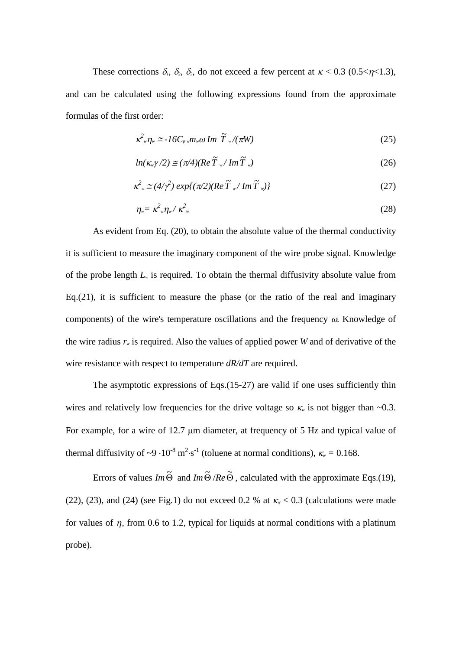These corrections  $\delta_i$ ,  $\delta_2$ ,  $\delta_3$ , do not exceed a few percent at  $\kappa < 0.3$  (0.5< $\eta < 1.3$ ), and can be calculated using the following expressions found from the approximate formulas of the first order:

$$
\kappa^2 w_{\nu} \approx -16 C_{\nu} w_{\nu} \omega \, \text{Im} \, \tilde{T} w / (\pi W) \tag{25}
$$

$$
ln(\kappa_{w}\gamma/2) \cong (\pi/4)(Re\,\widetilde{T}_{w}/Im\,\widetilde{T}_{w})
$$
\n(26)

$$
\kappa^2 = (4/\gamma^2) \exp\{(\pi/2)(Re\,\widetilde{T}_{w}/Im\,\widetilde{T}_{w})\}\tag{27}
$$

$$
\eta_{\nu} = \kappa^2_{\nu} \eta_{\nu} / \kappa^2_{\nu} \tag{28}
$$

As evident from Eq. (20), to obtain the absolute value of the thermal conductivity it is sufficient to measure the imaginary component of the wire probe signal. Knowledge of the probe length *L<sup>w</sup>* is required. To obtain the thermal diffusivity absolute value from Eq.(21), it is sufficient to measure the phase (or the ratio of the real and imaginary components) of the wire's temperature oscillations and the frequency  $\omega$ . Knowledge of the wire radius *r<sup>w</sup>* is required. Also the values of applied power *W* and of derivative of the wire resistance with respect to temperature *dR/dT* are required.

The asymptotic expressions of Eqs.(15-27) are valid if one uses sufficiently thin wires and relatively low frequencies for the drive voltage so  $\kappa$  is not bigger than  $\sim 0.3$ . For example, for a wire of  $12.7 \mu m$  diameter, at frequency of 5 Hz and typical value of thermal diffusivity of  $\sim$ 9  $\cdot$ 10<sup>-8</sup> m<sup>2</sup> $\cdot$ s<sup>-1</sup> (toluene at normal conditions),  $\kappa$ <sub>*w*</sub> = 0.168.

Errors of values *Im*  $\tilde{\Theta}$  and *Im*  $\tilde{\Theta}$  /*Re*  $\tilde{\Theta}$ , calculated with the approximate Eqs.(19), (22), (23), and (24) (see Fig.1) do not exceed 0.2 % at  $\kappa_{\nu}$  < 0.3 (calculations were made for values of  $\eta_{w}$  from 0.6 to 1.2, typical for liquids at normal conditions with a platinum probe).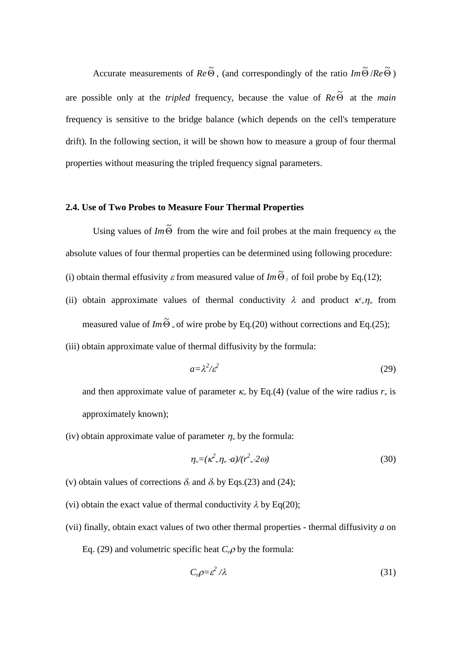Accurate measurements of  $Re\tilde{\Theta}$ , (and correspondingly of the ratio  $Im\tilde{\Theta}/Re\tilde{\Theta}$ ) are possible only at the *tripled* frequency, because the value of  $Re\,\Theta$  at the *main* frequency is sensitive to the bridge balance (which depends on the cell's temperature drift). In the following section, it will be shown how to measure a group of four thermal properties without measuring the tripled frequency signal parameters.

## **2.4. Use of Two Probes to Measure Four Thermal Properties**

Using values of  $Im \tilde{\Theta}$  from the wire and foil probes at the main frequency  $\omega$ , the absolute values of four thermal properties can be determined using following procedure: (i) obtain thermal effusivity  $\varepsilon$  from measured value of *Im*  $\tilde{\Theta}_f$  of foil probe by Eq.(12);

- (ii) obtain approximate values of thermal conductivity  $\lambda$  and product  $\kappa^2 w \eta_w$  from measured value of *Im* $\tilde{\Theta}$  <sub>*w*</sub> of wire probe by Eq.(20) without corrections and Eq.(25);
- (iii) obtain approximate value of thermal diffusivity by the formula:

$$
a = \lambda^2/\varepsilon^2 \tag{29}
$$

and then approximate value of parameter  $\kappa_w$  by Eq.(4) (value of the wire radius  $r_w$  is approximately known);

(iv) obtain approximate value of parameter  $\eta_w$  by the formula:

$$
\eta_{\mathbf{w}} = (\kappa^2 \eta_{\mathbf{w}} \cdot a) / (r^2 \eta_{\mathbf{w}} \cdot 2a) \tag{30}
$$

- (v) obtain values of corrections  $\delta_2$  and  $\delta_3$  by Eqs.(23) and (24);
- (vi) obtain the exact value of thermal conductivity  $\lambda$  by Eq(20);
- (vii) finally, obtain exact values of two other thermal properties thermal diffusivity *a* on Eq. (29) and volumetric specific heat  $C_p \rho$  by the formula:

$$
C_p \rho = \varepsilon^2 / \lambda \tag{31}
$$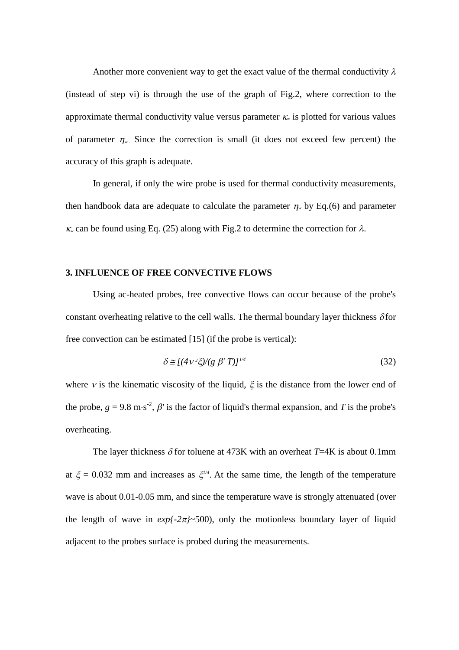Another more convenient way to get the exact value of the thermal conductivity  $\lambda$ (instead of step vi) is through the use of the graph of Fig.2, where correction to the approximate thermal conductivity value versus parameter  $\kappa$  is plotted for various values of parameter  $\eta$ . Since the correction is small (it does not exceed few percent) the accuracy of this graph is adequate.

In general, if only the wire probe is used for thermal conductivity measurements, then handbook data are adequate to calculate the parameter  $\eta_{w}$  by Eq.(6) and parameter  $\kappa$  can be found using Eq. (25) along with Fig. 2 to determine the correction for  $\lambda$ .

#### **3. INFLUENCE OF FREE CONVECTIVE FLOWS**

Using ac-heated probes, free convective flows can occur because of the probe's constant overheating relative to the cell walls. The thermal boundary layer thickness  $\delta$  for free convection can be estimated [15] (if the probe is vertical):

$$
\delta \cong [(\frac{4v^2\xi}{g \beta' T})]^{1/4} \tag{32}
$$

where v is the kinematic viscosity of the liquid,  $\xi$  is the distance from the lower end of the probe,  $g = 9.8 \text{ m} \cdot \text{s}^{-2}$ ,  $\beta'$  is the factor of liquid's thermal expansion, and *T* is the probe's overheating.

The layer thickness  $\delta$  for toluene at 473K with an overheat *T*=4K is about 0.1mm at  $\xi = 0.032$  mm and increases as  $\xi^{\frac{1}{4}}$ . At the same time, the length of the temperature wave is about 0.01-0.05 mm, and since the temperature wave is strongly attenuated (over the length of wave in  $exp{-2\pi l}\sim 500$ , only the motionless boundary layer of liquid adjacent to the probes surface is probed during the measurements.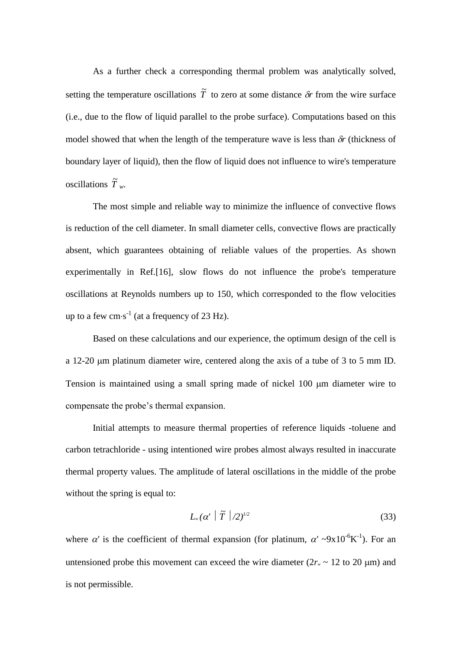As a further check a corresponding thermal problem was analytically solved, setting the temperature oscillations  $\tilde{T}$  to zero at some distance  $\delta r$  from the wire surface (i.e., due to the flow of liquid parallel to the probe surface). Computations based on this model showed that when the length of the temperature wave is less than  $\delta r$  (thickness of boundary layer of liquid), then the flow of liquid does not influence to wire's temperature oscillations  $\widetilde{T}$ <sub>*w*</sub>.

The most simple and reliable way to minimize the influence of convective flows is reduction of the cell diameter. In small diameter cells, convective flows are practically absent, which guarantees obtaining of reliable values of the properties. As shown experimentally in Ref.[16], slow flows do not influence the probe's temperature oscillations at Reynolds numbers up to 150, which corresponded to the flow velocities up to a few  $\text{cm}\cdot\text{s}^{-1}$  (at a frequency of 23 Hz).

Based on these calculations and our experience, the optimum design of the cell is a 12-20  $\mu$ m platinum diameter wire, centered along the axis of a tube of 3 to 5 mm ID. Tension is maintained using a small spring made of nickel 100  $\mu$ m diameter wire to compensate the probe's thermal expansion.

Initial attempts to measure thermal properties of reference liquids -toluene and carbon tetrachloride - using intentioned wire probes almost always resulted in inaccurate thermal property values. The amplitude of lateral oscillations in the middle of the probe without the spring is equal to:

$$
L_w(\alpha' \mid \widetilde{T} \mid /2)^{1/2} \tag{33}
$$

where  $\alpha'$  is the coefficient of thermal expansion (for platinum,  $\alpha' \sim 9x10^{-6}K^{-1}$ ). For an untensioned probe this movement can exceed the wire diameter  $(2r<sub>w</sub> \sim 12$  to 20 µm) and is not permissible.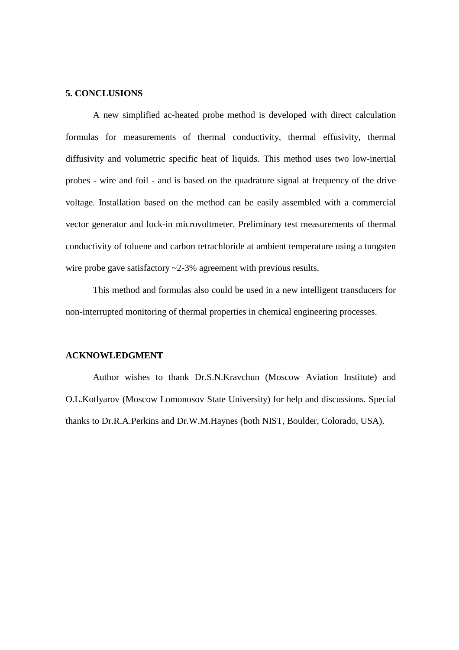#### **5. CONCLUSIONS**

A new simplified ac-heated probe method is developed with direct calculation formulas for measurements of thermal conductivity, thermal effusivity, thermal diffusivity and volumetric specific heat of liquids. This method uses two low-inertial probes - wire and foil - and is based on the quadrature signal at frequency of the drive voltage. Installation based on the method can be easily assembled with a commercial vector generator and lock-in microvoltmeter. Preliminary test measurements of thermal conductivity of toluene and carbon tetrachloride at ambient temperature using a tungsten wire probe gave satisfactory  $\sim$  2-3% agreement with previous results.

This method and formulas also could be used in a new intelligent transducers for non-interrupted monitoring of thermal properties in chemical engineering processes.

#### **ACKNOWLEDGMENT**

Author wishes to thank Dr.S.N.Kravchun (Moscow Aviation Institute) and O.L.Kotlyarov (Moscow Lomonosov State University) for help and discussions. Special thanks to Dr.R.A.Perkins and Dr.W.M.Haynes (both NIST, Boulder, Colorado, USA).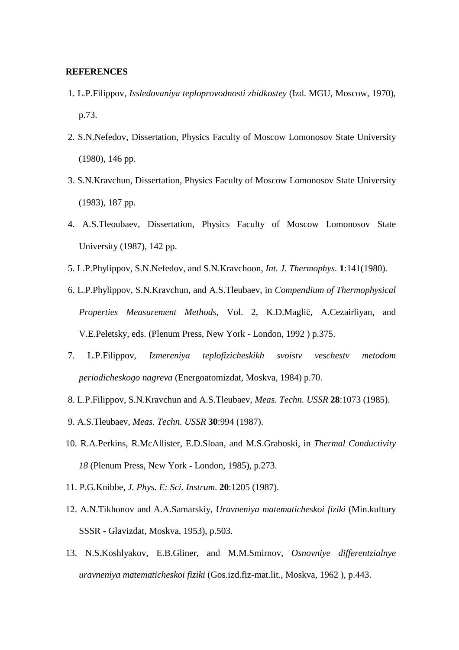#### **REFERENCES**

- 1. L.P.Filippov, *Issledovaniya teploprovodnosti zhidkostey* (Izd. MGU, Moscow, 1970), p.73.
- 2. S.N.Nefedov, Dissertation, Physics Faculty of Moscow Lomonosov State University (1980), 146 pp.
- 3. S.N.Kravchun, Dissertation, Physics Faculty of Moscow Lomonosov State University (1983), 187 pp.
- 4. A.S.Tleoubaev, Dissertation, Physics Faculty of Moscow Lomonosov State University (1987), 142 pp.
- 5. L.P.Phylippov, S.N.Nefedov, and S.N.Kravchoon, *Int. J. Thermophys.* **1**:141(1980).
- 6. L.P.Phylippov, S.N.Kravchun, and A.S.Tleubaev, in *Compendium of Thermophysical Properties Measurement Methods,* Vol. 2, K.D.Maglič, A.Cezairliyan, and V.E.Peletsky, eds. (Plenum Press, New York - London, 1992 ) p.375.
- 7. L.P.Filippov, *Izmereniya teplofizicheskikh svoistv veschestv metodom periodicheskogo nagreva* (Energoatomizdat, Moskva, 1984) p.70.
- 8. L.P.Filippov, S.N.Kravchun and A.S.Tleubaev, *Meas. Techn. USSR* **28**:1073 (1985).
- 9. A.S.Tleubaev*, Meas. Techn. USSR* **30**:994 (1987).
- 10. R.A.Perkins, R.McAllister, E.D.Sloan, and M.S.Graboski, in *Thermal Conductivity 18* (Plenum Press, New York - London, 1985), p.273.
- 11. P.G.Knibbe, *J. Phys. E: Sci. Instrum*. **20**:1205 (1987).
- 12. A.N.Tikhonov and A.A.Samarskiy, *Uravneniya matematicheskoi fiziki* (Min.kultury SSSR - Glavizdat, Moskva, 1953), p.503.
- 13. N.S.Koshlyakov, E.B.Gliner, and M.M.Smirnov, *Osnovniye differentzialnye uravneniya matematicheskoi fiziki* (Gos.izd.fiz-mat.lit., Moskva, 1962 ), p.443.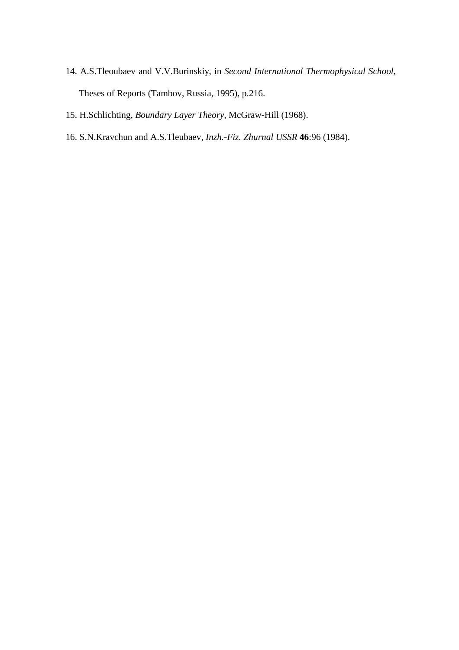- 14. A.S.Tleoubaev and V.V.Burinskiy, in *Second International Thermophysical School,* Theses of Reports (Tambov, Russia, 1995), p.216.
- 15. H.Schlichting*, Boundary Layer Theory*, McGraw-Hill (1968).
- 16. S.N.Kravchun and A.S.Tleubaev, *Inzh.-Fiz. Zhurnal USSR* **46**:96 (1984).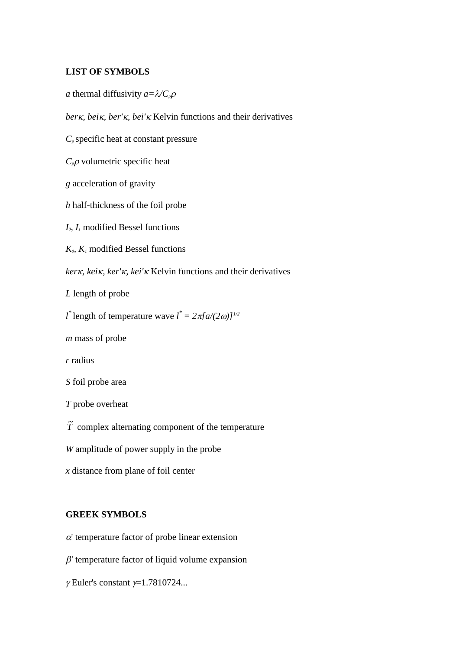## **LIST OF SYMBOLS**

*a* thermal diffusivity  $a = \lambda / C_p \rho$ 

ber<sub>K</sub>, bei<sub>K</sub>, ber'<sub>K</sub>, bei'<sub>K</sub> Kelvin functions and their derivatives

*C<sup>p</sup>* specific heat at constant pressure

 $C_p$ <sup>*p*</sup> volumetric specific heat

*g* acceleration of gravity

*h* half-thickness of the foil probe

*I0, I<sup>1</sup>* modified Bessel functions

 $K_0$ ,  $K_1$  modified Bessel functions

ker<sub>K</sub>, kei<sub>K</sub>, ker'<sub>K</sub>, kei'<sub>K</sub> Kelvin functions and their derivatives

*L* length of probe

*l*<sup>\*</sup> length of temperature wave  $l^* = 2\pi [a/(2\omega)]^{1/2}$ 

*m* mass of probe

*r* radius

*S* foil probe area

*T* probe overheat

 $\tilde{T}$  complex alternating component of the temperature

*W* amplitude of power supply in the probe

*x* distance from plane of foil center

## **GREEK SYMBOLS**

 $\alpha'$  temperature factor of probe linear extension

 $\beta'$  temperature factor of liquid volume expansion

 $\gamma$  Euler's constant  $\gamma$ =1.7810724...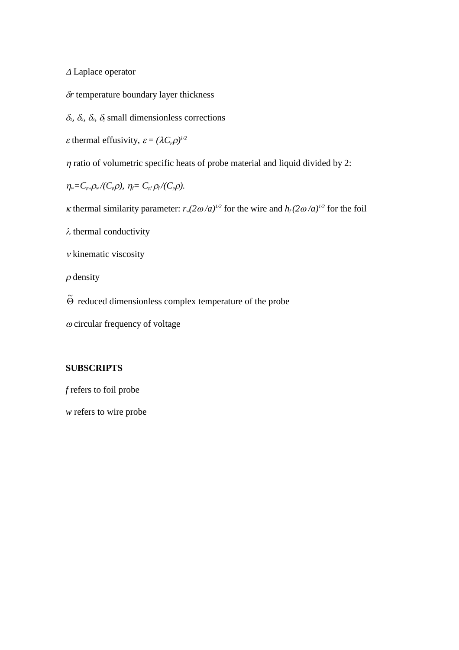$\triangle$  Laplace operator

 $\delta r$  temperature boundary layer thickness

 $\delta_1$ ,  $\delta_2$ ,  $\delta_3$ ,  $\delta_f$  small dimensionless corrections

 $\varepsilon$  thermal effusivity,  $\varepsilon = (\lambda C_p \rho)^{1/2}$ 

 $\eta$  ratio of volumetric specific heats of probe material and liquid divided by 2:

*n*<sub>*w*</sub>=C<sub>*pw</sub>* $\rho$ <sub>*w*</sub> $/$ (C<sub>*p*</sub> $\rho$ )*,*  $\eta$ <sub>*f*</sub>=C<sub>*pf*</sub> $\rho$ <sub>*f*</sub> $/$ (C<sub>*p*</sub> $\rho$ )*.*</sub>

*K* thermal similarity parameter:  $r_w(2\omega/a)^{1/2}$  for the wire and  $h_f(2\omega/a)^{1/2}$  for the foil

 $\lambda$  thermal conductivity

 $\nu$  kinematic viscosity

 $\rho$  density

 $\widetilde{\Theta}$  reduced dimensionless complex temperature of the probe

 $\omega$  circular frequency of voltage

## **SUBSCRIPTS**

*f* refers to foil probe

*w* refers to wire probe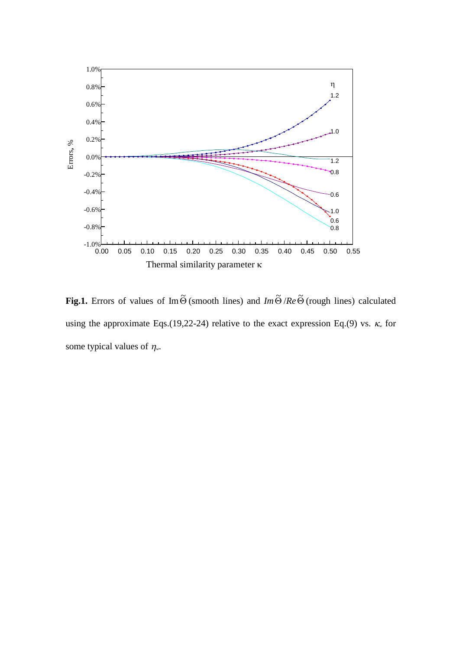

**Fig.1.** Errors of values of Im  $\widetilde{\Theta}$  (smooth lines) and *Im*  $\widetilde{\Theta}$  /*Re*  $\widetilde{\Theta}$  (rough lines) calculated using the approximate Eqs.(19,22-24) relative to the exact expression Eq.(9) vs.  $\kappa$  for some typical values of  $\eta$ <sub>w</sub>.